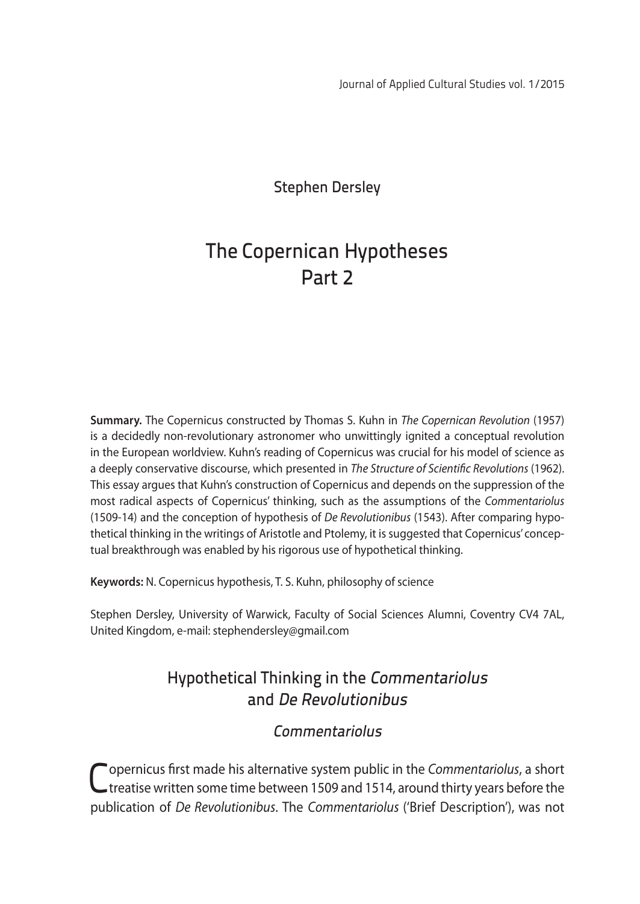Stephen Dersley

# The Copernican Hypotheses Part 2

**Summary.** The Copernicus constructed by Thomas S. Kuhn in *The Copernican Revolution* (1957) is a decidedly non-revolutionary astronomer who unwittingly ignited a conceptual revolution in the European worldview. Kuhn's reading of Copernicus was crucial for his model of science as a deeply conservative discourse, which presented in *The Structure of Scientific Revolutions* (1962). This essay argues that Kuhn's construction of Copernicus and depends on the suppression of the most radical aspects of Copernicus' thinking, such as the assumptions of the *Commentariolus* (1509-14) and the conception of hypothesis of *De Revolutionibus* (1543). After comparing hypothetical thinking in the writings of Aristotle and Ptolemy, it is suggested that Copernicus' conceptual breakthrough was enabled by his rigorous use of hypothetical thinking.

**Keywords:** N. Copernicus hypothesis, T. S. Kuhn, philosophy of science

Stephen Dersley, University of Warwick, Faculty of Social Sciences Alumni, Coventry CV4 7AL, United Kingdom, e-mail: stephendersley@gmail.com

# Hypothetical Thinking in the Commentariolus and De Revolutionibus

# Commentariolus

Copernicus first made his alternative system public in the *Commentariolus*, a short treatise written some time between 1509 and 1514, around thirty years before the publication of *De Revolutionibus*. The *Commentariolus* ('Brief Description'), was not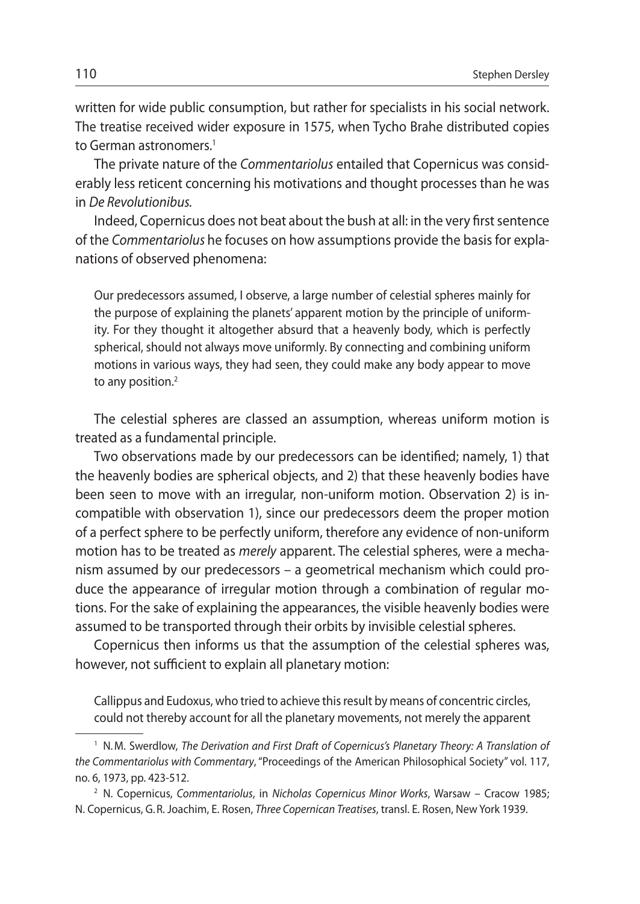written for wide public consumption, but rather for specialists in his social network. The treatise received wider exposure in 1575, when Tycho Brahe distributed copies to German astronomers.<sup>1</sup>

The private nature of the *Commentariolus* entailed that Copernicus was considerably less reticent concerning his motivations and thought processes than he was in *De Revolutionibus.* 

Indeed, Copernicus does not beat about the bush at all: in the very first sentence of the *Commentariolus* he focuses on how assumptions provide the basis for explanations of observed phenomena:

Our predecessors assumed, I observe, a large number of celestial spheres mainly for the purpose of explaining the planets' apparent motion by the principle of uniformity. For they thought it altogether absurd that a heavenly body, which is perfectly spherical, should not always move uniformly. By connecting and combining uniform motions in various ways, they had seen, they could make any body appear to move to any position.<sup>2</sup>

The celestial spheres are classed an assumption, whereas uniform motion is treated as a fundamental principle.

Two observations made by our predecessors can be identified; namely, 1) that the heavenly bodies are spherical objects, and 2) that these heavenly bodies have been seen to move with an irregular, non-uniform motion. Observation 2) is incompatible with observation 1), since our predecessors deem the proper motion of a perfect sphere to be perfectly uniform, therefore any evidence of non-uniform motion has to be treated as *merely* apparent. The celestial spheres, were a mechanism assumed by our predecessors – a geometrical mechanism which could produce the appearance of irregular motion through a combination of regular motions. For the sake of explaining the appearances, the visible heavenly bodies were assumed to be transported through their orbits by invisible celestial spheres.

Copernicus then informs us that the assumption of the celestial spheres was, however, not sufficient to explain all planetary motion:

Callippus and Eudoxus, who tried to achieve this result by means of concentric circles, could not thereby account for all the planetary movements, not merely the apparent

<sup>1</sup> N.M. Swerdlow, *The Derivation and First Draft of Copernicus's Planetary Theory: A Translation of the Commentariolus with Commentary*, "Proceedings of the American Philosophical Society" vol. 117, no. 6, 1973, pp. 423-512.

<sup>2</sup> N. Copernicus, *Commentariolus*, in *Nicholas Copernicus Minor Works*, Warsaw – Cracow 1985; N. Copernicus, G.R. Joachim, E. Rosen, *Three Copernican Treatises*, transl. E. Rosen, New York 1939.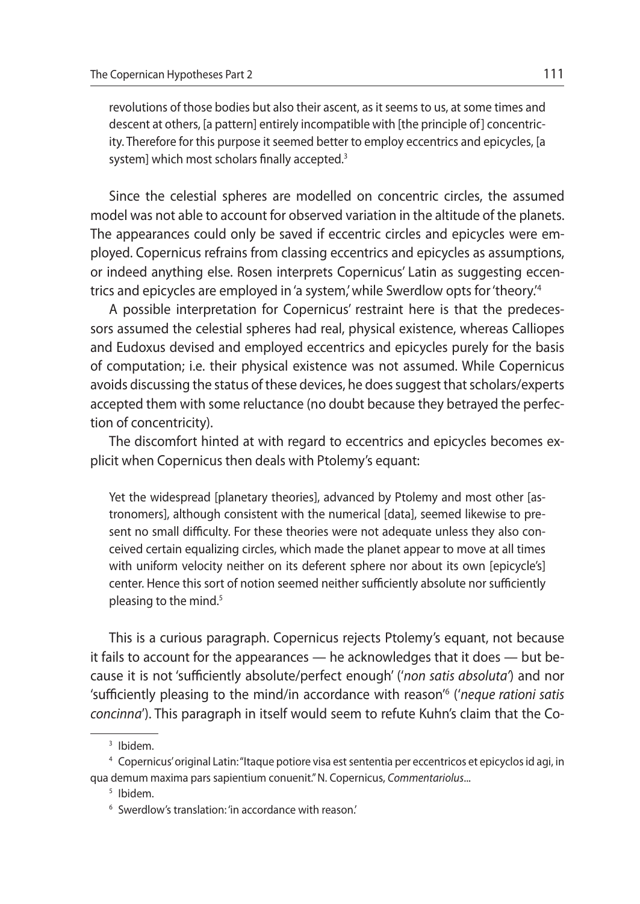revolutions of those bodies but also their ascent, as it seems to us, at some times and descent at others, [a pattern] entirely incompatible with [the principle of] concentricity. Therefore for this purpose it seemed better to employ eccentrics and epicycles, [a system] which most scholars finally accepted.<sup>3</sup>

Since the celestial spheres are modelled on concentric circles, the assumed model was not able to account for observed variation in the altitude of the planets. The appearances could only be saved if eccentric circles and epicycles were employed. Copernicus refrains from classing eccentrics and epicycles as assumptions, or indeed anything else. Rosen interprets Copernicus' Latin as suggesting eccentrics and epicycles are employed in 'a system,' while Swerdlow opts for 'theory.'4

A possible interpretation for Copernicus' restraint here is that the predecessors assumed the celestial spheres had real, physical existence, whereas Calliopes and Eudoxus devised and employed eccentrics and epicycles purely for the basis of computation; i.e. their physical existence was not assumed. While Copernicus avoids discussing the status of these devices, he does suggest that scholars/experts accepted them with some reluctance (no doubt because they betrayed the perfection of concentricity).

The discomfort hinted at with regard to eccentrics and epicycles becomes explicit when Copernicus then deals with Ptolemy's equant:

Yet the widespread [planetary theories], advanced by Ptolemy and most other [astronomers], although consistent with the numerical [data], seemed likewise to present no small difficulty. For these theories were not adequate unless they also conceived certain equalizing circles, which made the planet appear to move at all times with uniform velocity neither on its deferent sphere nor about its own [epicycle's] center. Hence this sort of notion seemed neither sufficiently absolute nor sufficiently pleasing to the mind.<sup>5</sup>

This is a curious paragraph. Copernicus rejects Ptolemy's equant, not because it fails to account for the appearances — he acknowledges that it does — but because it is not 'sufficiently absolute/perfect enough' ('*non satis absoluta'*) and nor 'sufficiently pleasing to the mind/in accordance with reason'6 ('*neque rationi satis concinna*'). This paragraph in itself would seem to refute Kuhn's claim that the Co-

<sup>3</sup> Ibidem.

<sup>4</sup> Copernicus' original Latin: "Itaque potiore visa est sententia per eccentricos et epicyclos id agi, in qua demum maxima pars sapientium conuenit." N. Copernicus, *Commentariolus*...

<sup>6</sup> Swerdlow's translation: 'in accordance with reason.'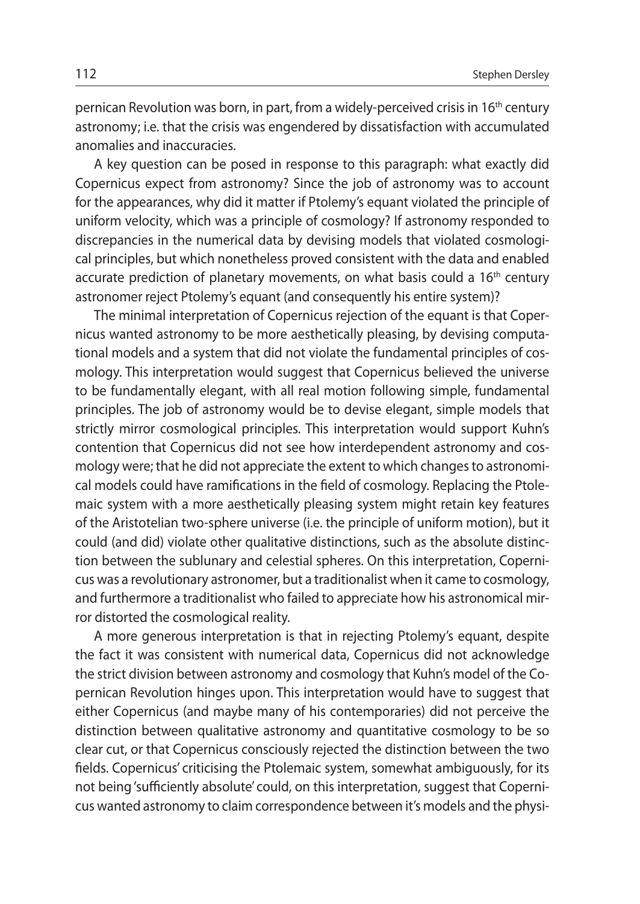pernican Revolution was born, in part, from a widely-perceived crisis in 16<sup>th</sup> century astronomy; i.e. that the crisis was engendered by dissatisfaction with accumulated anomalies and inaccuracies.

A key question can be posed in response to this paragraph: what exactly did Copernicus expect from astronomy? Since the job of astronomy was to account for the appearances, why did it matter if Ptolemy's equant violated the principle of uniform velocity, which was a principle of cosmology? If astronomy responded to discrepancies in the numerical data by devising models that violated cosmological principles, but which nonetheless proved consistent with the data and enabled accurate prediction of planetary movements, on what basis could a 16<sup>th</sup> century astronomer reject Ptolemy's equant (and consequently his entire system)?

The minimal interpretation of Copernicus rejection of the equant is that Copernicus wanted astronomy to be more aesthetically pleasing, by devising computational models and a system that did not violate the fundamental principles of cosmology. This interpretation would suggest that Copernicus believed the universe to be fundamentally elegant, with all real motion following simple, fundamental principles. The job of astronomy would be to devise elegant, simple models that strictly mirror cosmological principles. This interpretation would support Kuhn's contention that Copernicus did not see how interdependent astronomy and cosmology were; that he did not appreciate the extent to which changes to astronomical models could have ramifications in the field of cosmology. Replacing the Ptolemaic system with a more aesthetically pleasing system might retain key features of the Aristotelian two-sphere universe (i.e. the principle of uniform motion), but it could (and did) violate other qualitative distinctions, such as the absolute distinction between the sublunary and celestial spheres. On this interpretation, Copernicus was a revolutionary astronomer, but a traditionalist when it came to cosmology, and furthermore a traditionalist who failed to appreciate how his astronomical mirror distorted the cosmological reality.

A more generous interpretation is that in rejecting Ptolemy's equant, despite the fact it was consistent with numerical data, Copernicus did not acknowledge the strict division between astronomy and cosmology that Kuhn's model of the Copernican Revolution hinges upon. This interpretation would have to suggest that either Copernicus (and maybe many of his contemporaries) did not perceive the distinction between qualitative astronomy and quantitative cosmology to be so clear cut, or that Copernicus consciously rejected the distinction between the two fields. Copernicus' criticising the Ptolemaic system, somewhat ambiguously, for its not being 'sufficiently absolute' could, on this interpretation, suggest that Copernicus wanted astronomy to claim correspondence between it's models and the physi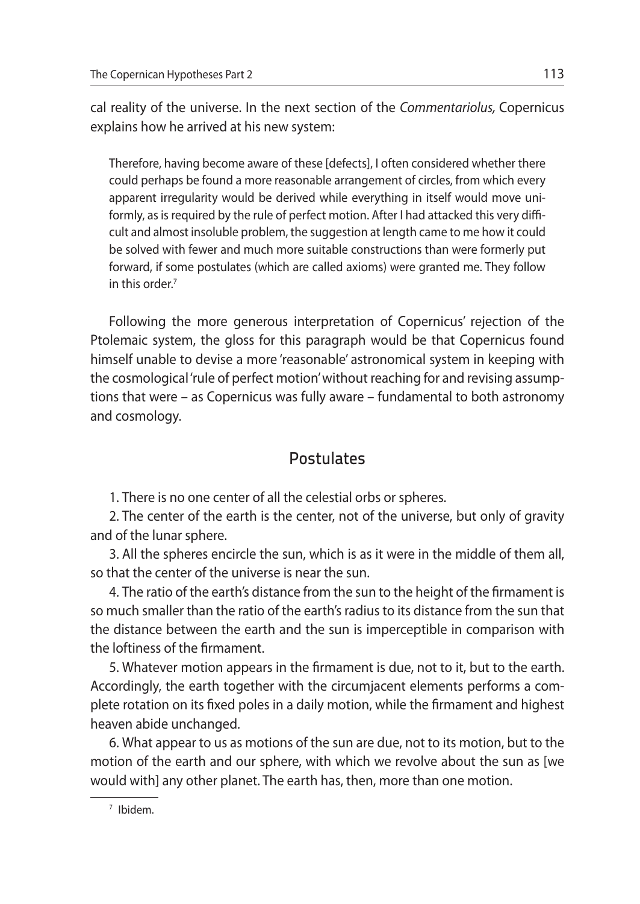cal reality of the universe. In the next section of the *Commentariolus,* Copernicus explains how he arrived at his new system:

Therefore, having become aware of these [defects], I often considered whether there could perhaps be found a more reasonable arrangement of circles, from which every apparent irregularity would be derived while everything in itself would move uniformly, as is required by the rule of perfect motion. After I had attacked this very difficult and almost insoluble problem, the suggestion at length came to me how it could be solved with fewer and much more suitable constructions than were formerly put forward, if some postulates (which are called axioms) were granted me. They follow in this order.7

Following the more generous interpretation of Copernicus' rejection of the Ptolemaic system, the gloss for this paragraph would be that Copernicus found himself unable to devise a more 'reasonable' astronomical system in keeping with the cosmological 'rule of perfect motion' without reaching for and revising assumptions that were – as Copernicus was fully aware – fundamental to both astronomy and cosmology.

# **Postulates**

1. There is no one center of all the celestial orbs or spheres.

2. The center of the earth is the center, not of the universe, but only of gravity and of the lunar sphere.

3. All the spheres encircle the sun, which is as it were in the middle of them all, so that the center of the universe is near the sun.

4. The ratio of the earth's distance from the sun to the height of the firmament is so much smaller than the ratio of the earth's radius to its distance from the sun that the distance between the earth and the sun is imperceptible in comparison with the loftiness of the firmament.

5. Whatever motion appears in the firmament is due, not to it, but to the earth. Accordingly, the earth together with the circumjacent elements performs a complete rotation on its fixed poles in a daily motion, while the firmament and highest heaven abide unchanged.

6. What appear to us as motions of the sun are due, not to its motion, but to the motion of the earth and our sphere, with which we revolve about the sun as [we would with] any other planet. The earth has, then, more than one motion.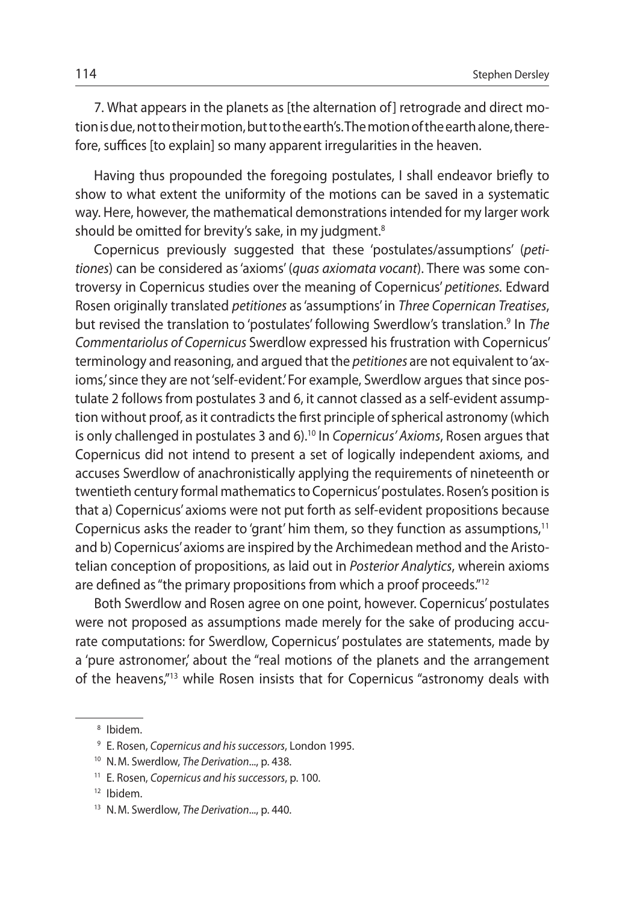7. What appears in the planets as [the alternation of] retrograde and direct motion is due, not to their motion, but to the earth's. The motion of the earth alone, therefore, suffices [to explain] so many apparent irregularities in the heaven.

Having thus propounded the foregoing postulates, I shall endeavor briefly to show to what extent the uniformity of the motions can be saved in a systematic way. Here, however, the mathematical demonstrations intended for my larger work should be omitted for brevity's sake, in my judgment.<sup>8</sup>

Copernicus previously suggested that these 'postulates/assumptions' (*petitiones*) can be considered as 'axioms' (*quas axiomata vocant*). There was some controversy in Copernicus studies over the meaning of Copernicus' *petitiones.* Edward Rosen originally translated *petitiones* as 'assumptions' in *Three Copernican Treatises*, but revised the translation to 'postulates' following Swerdlow's translation.<sup>9</sup> In *The Commentariolus of Copernicus* Swerdlow expressed his frustration with Copernicus' terminology and reasoning, and argued that the *petitiones* are not equivalent to 'axioms,' since they are not 'self-evident.' For example, Swerdlow argues that since postulate 2 follows from postulates 3 and 6, it cannot classed as a self-evident assumption without proof, as it contradicts the first principle of spherical astronomy (which is only challenged in postulates 3 and 6).10 In *Copernicus' Axioms*, Rosen argues that Copernicus did not intend to present a set of logically independent axioms, and accuses Swerdlow of anachronistically applying the requirements of nineteenth or twentieth century formal mathematics to Copernicus' postulates. Rosen's position is that a) Copernicus' axioms were not put forth as self-evident propositions because Copernicus asks the reader to 'grant' him them, so they function as assumptions, $<sup>11</sup>$ </sup> and b) Copernicus' axioms are inspired by the Archimedean method and the Aristotelian conception of propositions, as laid out in *Posterior Analytics*, wherein axioms are defined as "the primary propositions from which a proof proceeds."12

Both Swerdlow and Rosen agree on one point, however. Copernicus' postulates were not proposed as assumptions made merely for the sake of producing accurate computations: for Swerdlow, Copernicus' postulates are statements, made by a 'pure astronomer' about the "real motions of the planets and the arrangement of the heavens,"13 while Rosen insists that for Copernicus "astronomy deals with

<sup>8</sup> Ibidem.

<sup>9</sup> E. Rosen, *Copernicus and his successors*, London 1995.

<sup>10</sup> N.M. Swerdlow, *The Derivation*..., p. 438.

<sup>11</sup> E. Rosen, *Copernicus and his successors*, p. 100.

<sup>12</sup> Ibidem.

<sup>13</sup> N.M. Swerdlow, *The Derivation*..., p. 440.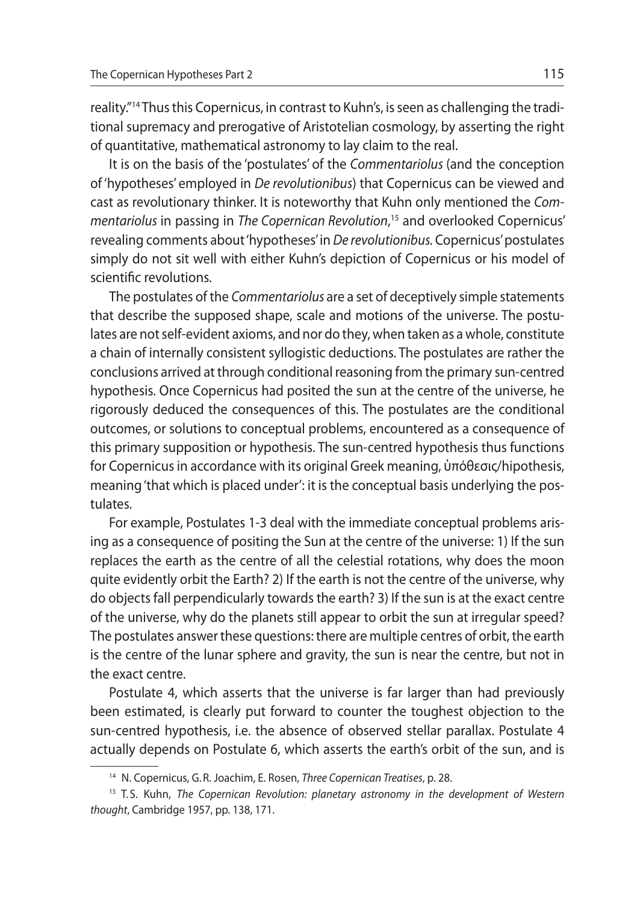reality."14 Thus this Copernicus, in contrast to Kuhn's, is seen as challenging the traditional supremacy and prerogative of Aristotelian cosmology, by asserting the right of quantitative, mathematical astronomy to lay claim to the real.

It is on the basis of the 'postulates' of the *Commentariolus* (and the conception of 'hypotheses' employed in *De revolutionibus*) that Copernicus can be viewed and cast as revolutionary thinker. It is noteworthy that Kuhn only mentioned the *Commentariolus* in passing in *The Copernican Revolution*, 15 and overlooked Copernicus' revealing comments about 'hypotheses' in *De revolutionibus.* Copernicus' postulates simply do not sit well with either Kuhn's depiction of Copernicus or his model of scientific revolutions.

The postulates of the *Commentariolus* are a set of deceptively simple statements that describe the supposed shape, scale and motions of the universe. The postulates are not self-evident axioms, and nor do they, when taken as a whole, constitute a chain of internally consistent syllogistic deductions. The postulates are rather the conclusions arrived at through conditional reasoning from the primary sun-centred hypothesis. Once Copernicus had posited the sun at the centre of the universe, he rigorously deduced the consequences of this. The postulates are the conditional outcomes, or solutions to conceptual problems, encountered as a consequence of this primary supposition or hypothesis. The sun-centred hypothesis thus functions for Copernicus in accordance with its original Greek meaning, ὑπόθεσις/hipothesis, meaning 'that which is placed under': it is the conceptual basis underlying the postulates.

For example, Postulates 1-3 deal with the immediate conceptual problems arising as a consequence of positing the Sun at the centre of the universe: 1) If the sun replaces the earth as the centre of all the celestial rotations, why does the moon quite evidently orbit the Earth? 2) If the earth is not the centre of the universe, why do objects fall perpendicularly towards the earth? 3) If the sun is at the exact centre of the universe, why do the planets still appear to orbit the sun at irregular speed? The postulates answer these questions: there are multiple centres of orbit, the earth is the centre of the lunar sphere and gravity, the sun is near the centre, but not in the exact centre.

Postulate 4, which asserts that the universe is far larger than had previously been estimated, is clearly put forward to counter the toughest objection to the sun-centred hypothesis, i.e. the absence of observed stellar parallax. Postulate 4 actually depends on Postulate 6, which asserts the earth's orbit of the sun, and is

<sup>14</sup> N. Copernicus, G.R. Joachim, E. Rosen, *Three Copernican Treatises*, p. 28.

<sup>&</sup>lt;sup>15</sup> T.S. Kuhn, *The Copernican Revolution: planetary astronomy in the development of Western thought*, Cambridge 1957, pp. 138, 171.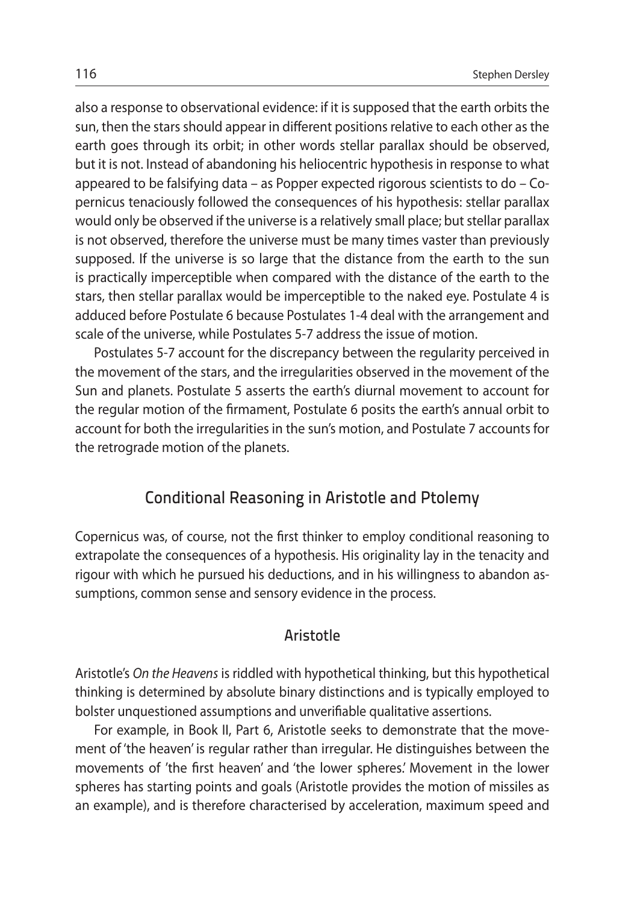also a response to observational evidence: if it is supposed that the earth orbits the sun, then the stars should appear in different positions relative to each other as the earth goes through its orbit; in other words stellar parallax should be observed, but it is not. Instead of abandoning his heliocentric hypothesis in response to what appeared to be falsifying data – as Popper expected rigorous scientists to do – Copernicus tenaciously followed the consequences of his hypothesis: stellar parallax would only be observed if the universe is a relatively small place; but stellar parallax is not observed, therefore the universe must be many times vaster than previously supposed. If the universe is so large that the distance from the earth to the sun is practically imperceptible when compared with the distance of the earth to the stars, then stellar parallax would be imperceptible to the naked eye. Postulate 4 is adduced before Postulate 6 because Postulates 1-4 deal with the arrangement and scale of the universe, while Postulates 5-7 address the issue of motion.

Postulates 5-7 account for the discrepancy between the regularity perceived in the movement of the stars, and the irregularities observed in the movement of the Sun and planets. Postulate 5 asserts the earth's diurnal movement to account for the regular motion of the firmament, Postulate 6 posits the earth's annual orbit to account for both the irregularities in the sun's motion, and Postulate 7 accounts for the retrograde motion of the planets.

# Conditional Reasoning in Aristotle and Ptolemy

Copernicus was, of course, not the first thinker to employ conditional reasoning to extrapolate the consequences of a hypothesis. His originality lay in the tenacity and rigour with which he pursued his deductions, and in his willingness to abandon assumptions, common sense and sensory evidence in the process.

#### Aristotle

Aristotle's *On the Heavens* is riddled with hypothetical thinking, but this hypothetical thinking is determined by absolute binary distinctions and is typically employed to bolster unquestioned assumptions and unverifiable qualitative assertions.

For example, in Book II, Part 6, Aristotle seeks to demonstrate that the movement of 'the heaven' is regular rather than irregular. He distinguishes between the movements of 'the first heaven' and 'the lower spheres.' Movement in the lower spheres has starting points and goals (Aristotle provides the motion of missiles as an example), and is therefore characterised by acceleration, maximum speed and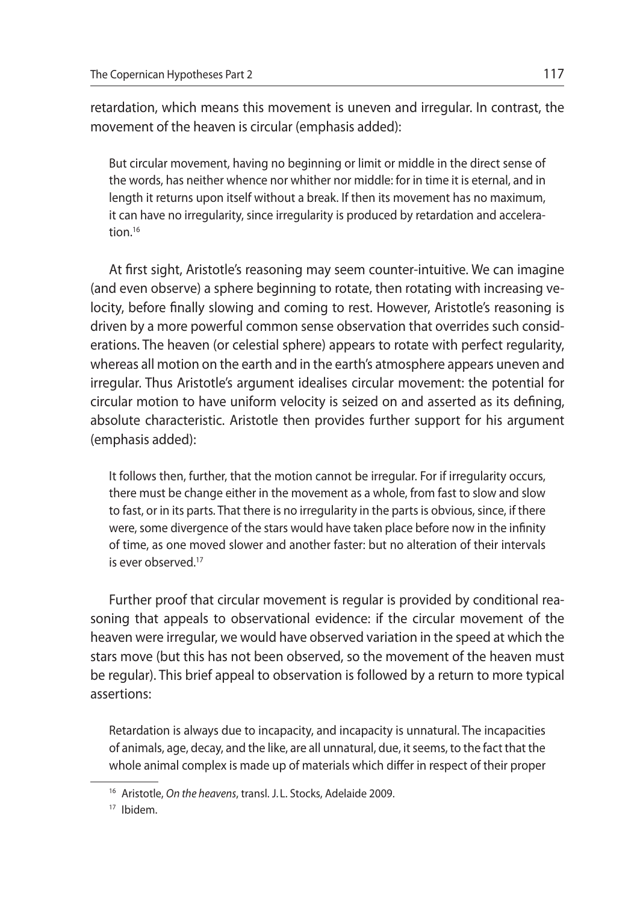retardation, which means this movement is uneven and irregular. In contrast, the movement of the heaven is circular (emphasis added):

But circular movement, having no beginning or limit or middle in the direct sense of the words, has neither whence nor whither nor middle: for in time it is eternal, and in length it returns upon itself without a break. If then its movement has no maximum, it can have no irregularity, since irregularity is produced by retardation and acceleration.16

At first sight, Aristotle's reasoning may seem counter-intuitive. We can imagine (and even observe) a sphere beginning to rotate, then rotating with increasing velocity, before finally slowing and coming to rest. However, Aristotle's reasoning is driven by a more powerful common sense observation that overrides such considerations. The heaven (or celestial sphere) appears to rotate with perfect regularity, whereas all motion on the earth and in the earth's atmosphere appears uneven and irregular. Thus Aristotle's argument idealises circular movement: the potential for circular motion to have uniform velocity is seized on and asserted as its defining, absolute characteristic. Aristotle then provides further support for his argument (emphasis added):

It follows then, further, that the motion cannot be irregular. For if irregularity occurs, there must be change either in the movement as a whole, from fast to slow and slow to fast, or in its parts. That there is no irregularity in the parts is obvious, since, if there were, some divergence of the stars would have taken place before now in the infinity of time, as one moved slower and another faster: but no alteration of their intervals is ever observed.<sup>17</sup>

Further proof that circular movement is regular is provided by conditional reasoning that appeals to observational evidence: if the circular movement of the heaven were irregular, we would have observed variation in the speed at which the stars move (but this has not been observed, so the movement of the heaven must be regular). This brief appeal to observation is followed by a return to more typical assertions:

Retardation is always due to incapacity, and incapacity is unnatural. The incapacities of animals, age, decay, and the like, are all unnatural, due, it seems, to the fact that the whole animal complex is made up of materials which differ in respect of their proper

<sup>16</sup> Aristotle, *On the heavens*, transl. J. L. Stocks, Adelaide 2009.

<sup>17</sup> Ibidem.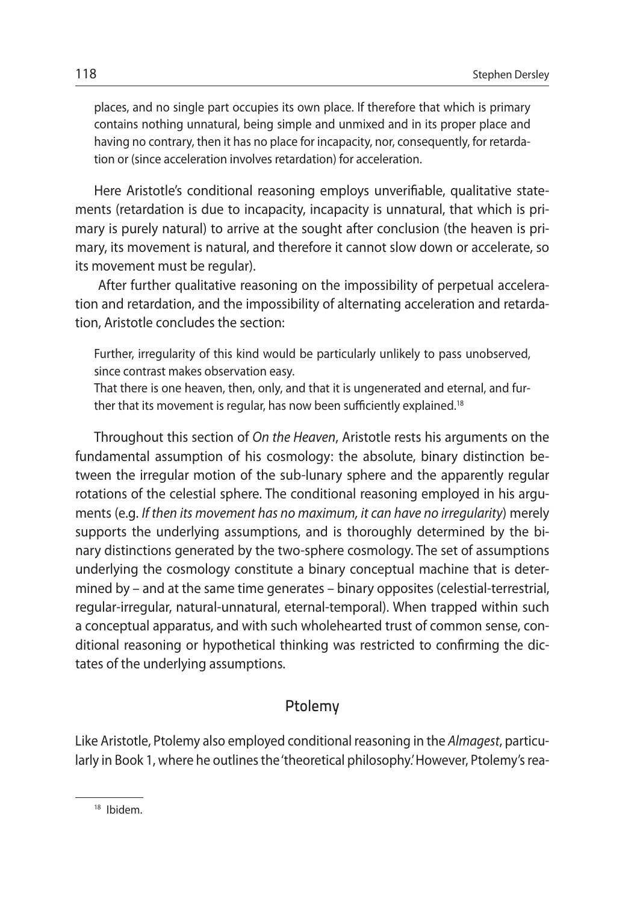places, and no single part occupies its own place. If therefore that which is primary contains nothing unnatural, being simple and unmixed and in its proper place and having no contrary, then it has no place for incapacity, nor, consequently, for retardation or (since acceleration involves retardation) for acceleration.

Here Aristotle's conditional reasoning employs unverifiable, qualitative statements (retardation is due to incapacity, incapacity is unnatural, that which is primary is purely natural) to arrive at the sought after conclusion (the heaven is primary, its movement is natural, and therefore it cannot slow down or accelerate, so its movement must be regular).

 After further qualitative reasoning on the impossibility of perpetual acceleration and retardation, and the impossibility of alternating acceleration and retardation, Aristotle concludes the section:

Further, irregularity of this kind would be particularly unlikely to pass unobserved, since contrast makes observation easy.

That there is one heaven, then, only, and that it is ungenerated and eternal, and further that its movement is regular, has now been sufficiently explained.18

Throughout this section of *On the Heaven*, Aristotle rests his arguments on the fundamental assumption of his cosmology: the absolute, binary distinction between the irregular motion of the sub-lunary sphere and the apparently regular rotations of the celestial sphere. The conditional reasoning employed in his arguments (e.g. *If then its movement has no maximum, it can have no irregularity*) merely supports the underlying assumptions, and is thoroughly determined by the binary distinctions generated by the two-sphere cosmology. The set of assumptions underlying the cosmology constitute a binary conceptual machine that is determined by – and at the same time generates – binary opposites (celestial-terrestrial, regular-irregular, natural-unnatural, eternal-temporal). When trapped within such a conceptual apparatus, and with such wholehearted trust of common sense, conditional reasoning or hypothetical thinking was restricted to confirming the dictates of the underlying assumptions.

## Ptolemy

Like Aristotle, Ptolemy also employed conditional reasoning in the *Almagest*, particularly in Book 1, where he outlines the 'theoretical philosophy.' However, Ptolemy's rea-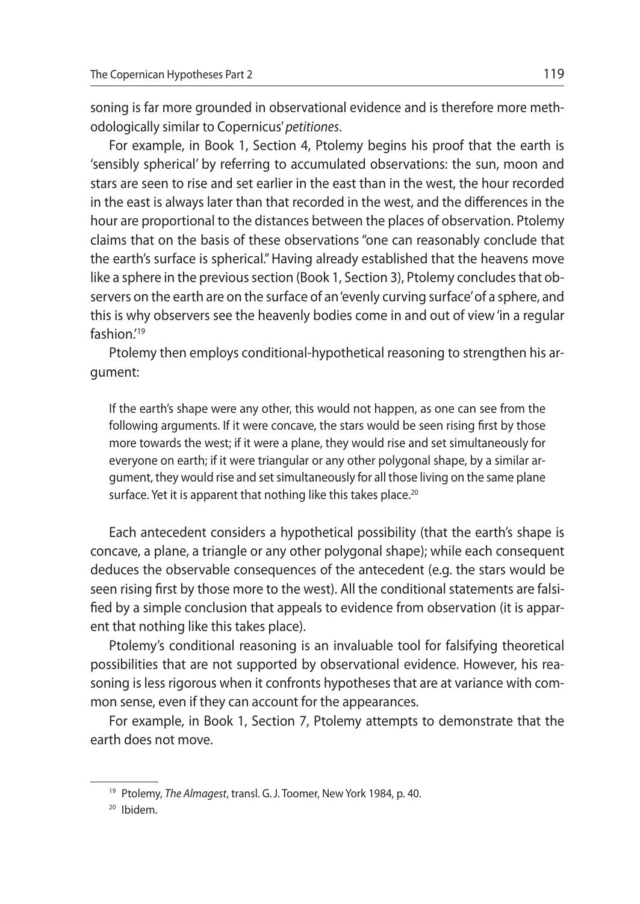soning is far more grounded in observational evidence and is therefore more methodologically similar to Copernicus' *petitiones*.

For example, in Book 1, Section 4, Ptolemy begins his proof that the earth is 'sensibly spherical' by referring to accumulated observations: the sun, moon and stars are seen to rise and set earlier in the east than in the west, the hour recorded in the east is always later than that recorded in the west, and the differences in the hour are proportional to the distances between the places of observation. Ptolemy claims that on the basis of these observations "one can reasonably conclude that the earth's surface is spherical." Having already established that the heavens move like a sphere in the previous section (Book 1, Section 3), Ptolemy concludes that observers on the earth are on the surface of an 'evenly curving surface' of a sphere, and this is why observers see the heavenly bodies come in and out of view 'in a regular fashion.'19

Ptolemy then employs conditional-hypothetical reasoning to strengthen his argument:

If the earth's shape were any other, this would not happen, as one can see from the following arguments. If it were concave, the stars would be seen rising first by those more towards the west; if it were a plane, they would rise and set simultaneously for everyone on earth; if it were triangular or any other polygonal shape, by a similar argument, they would rise and set simultaneously for all those living on the same plane surface. Yet it is apparent that nothing like this takes place.<sup>20</sup>

Each antecedent considers a hypothetical possibility (that the earth's shape is concave, a plane, a triangle or any other polygonal shape); while each consequent deduces the observable consequences of the antecedent (e.g. the stars would be seen rising first by those more to the west). All the conditional statements are falsified by a simple conclusion that appeals to evidence from observation (it is apparent that nothing like this takes place).

Ptolemy's conditional reasoning is an invaluable tool for falsifying theoretical possibilities that are not supported by observational evidence. However, his reasoning is less rigorous when it confronts hypotheses that are at variance with common sense, even if they can account for the appearances.

For example, in Book 1, Section 7, Ptolemy attempts to demonstrate that the earth does not move.

<sup>19</sup> Ptolemy, *The Almagest*, transl. G.J. Toomer, New York 1984, p. 40.

<sup>20</sup> Ibidem.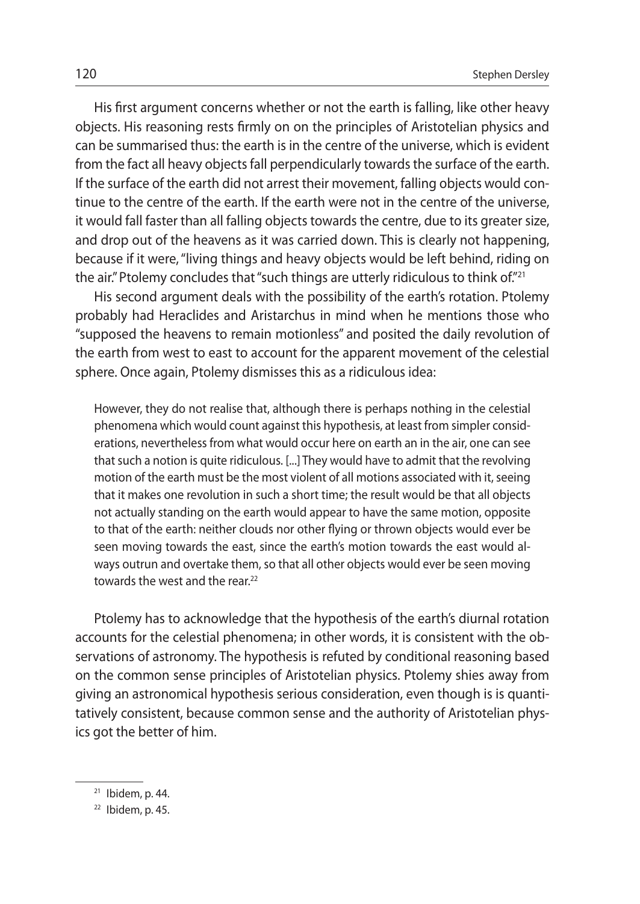His first argument concerns whether or not the earth is falling, like other heavy objects. His reasoning rests firmly on on the principles of Aristotelian physics and can be summarised thus: the earth is in the centre of the universe, which is evident from the fact all heavy objects fall perpendicularly towards the surface of the earth. If the surface of the earth did not arrest their movement, falling objects would continue to the centre of the earth. If the earth were not in the centre of the universe, it would fall faster than all falling objects towards the centre, due to its greater size, and drop out of the heavens as it was carried down. This is clearly not happening, because if it were, "living things and heavy objects would be left behind, riding on the air." Ptolemy concludes that "such things are utterly ridiculous to think of."21

His second argument deals with the possibility of the earth's rotation. Ptolemy probably had Heraclides and Aristarchus in mind when he mentions those who "supposed the heavens to remain motionless" and posited the daily revolution of the earth from west to east to account for the apparent movement of the celestial sphere. Once again, Ptolemy dismisses this as a ridiculous idea:

However, they do not realise that, although there is perhaps nothing in the celestial phenomena which would count against this hypothesis, at least from simpler considerations, nevertheless from what would occur here on earth an in the air, one can see that such a notion is quite ridiculous. [...] They would have to admit that the revolving motion of the earth must be the most violent of all motions associated with it, seeing that it makes one revolution in such a short time; the result would be that all objects not actually standing on the earth would appear to have the same motion, opposite to that of the earth: neither clouds nor other flying or thrown objects would ever be seen moving towards the east, since the earth's motion towards the east would always outrun and overtake them, so that all other objects would ever be seen moving towards the west and the rear.<sup>22</sup>

Ptolemy has to acknowledge that the hypothesis of the earth's diurnal rotation accounts for the celestial phenomena; in other words, it is consistent with the observations of astronomy. The hypothesis is refuted by conditional reasoning based on the common sense principles of Aristotelian physics. Ptolemy shies away from giving an astronomical hypothesis serious consideration, even though is is quantitatively consistent, because common sense and the authority of Aristotelian physics got the better of him.

 $21$  Ibidem, p. 44.

 $22$  Ibidem, p. 45.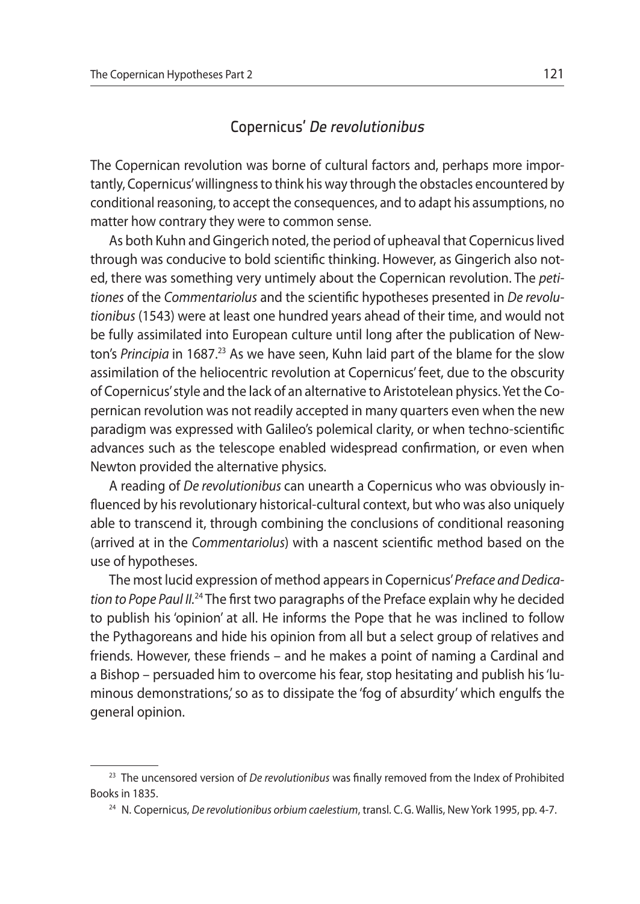## Copernicus' De revolutionibus

The Copernican revolution was borne of cultural factors and, perhaps more importantly, Copernicus' willingness to think his way through the obstacles encountered by conditional reasoning, to accept the consequences, and to adapt his assumptions, no matter how contrary they were to common sense.

As both Kuhn and Gingerich noted, the period of upheaval that Copernicus lived through was conducive to bold scientific thinking. However, as Gingerich also noted, there was something very untimely about the Copernican revolution. The *petitiones* of the *Commentariolus* and the scientific hypotheses presented in *De revolutionibus* (1543) were at least one hundred years ahead of their time, and would not be fully assimilated into European culture until long after the publication of Newton's *Principia* in 1687.<sup>23</sup> As we have seen, Kuhn laid part of the blame for the slow assimilation of the heliocentric revolution at Copernicus' feet, due to the obscurity of Copernicus' style and the lack of an alternative to Aristotelean physics. Yet the Copernican revolution was not readily accepted in many quarters even when the new paradigm was expressed with Galileo's polemical clarity, or when techno-scientific advances such as the telescope enabled widespread confirmation, or even when Newton provided the alternative physics.

A reading of *De revolutionibus* can unearth a Copernicus who was obviously influenced by his revolutionary historical-cultural context, but who was also uniquely able to transcend it, through combining the conclusions of conditional reasoning (arrived at in the *Commentariolus*) with a nascent scientific method based on the use of hypotheses.

The most lucid expression of method appears in Copernicus' *Preface and Dedication to Pope Paul II.*24 The first two paragraphs of the Preface explain why he decided to publish his 'opinion' at all. He informs the Pope that he was inclined to follow the Pythagoreans and hide his opinion from all but a select group of relatives and friends. However, these friends – and he makes a point of naming a Cardinal and a Bishop – persuaded him to overcome his fear, stop hesitating and publish his 'luminous demonstrations,' so as to dissipate the 'fog of absurdity' which engulfs the general opinion.

<sup>23</sup> The uncensored version of *De revolutionibus* was finally removed from the Index of Prohibited Books in 1835.

<sup>24</sup> N. Copernicus, *De revolutionibus orbium caelestium*, transl. C.G. Wallis, New York 1995, pp. 4-7.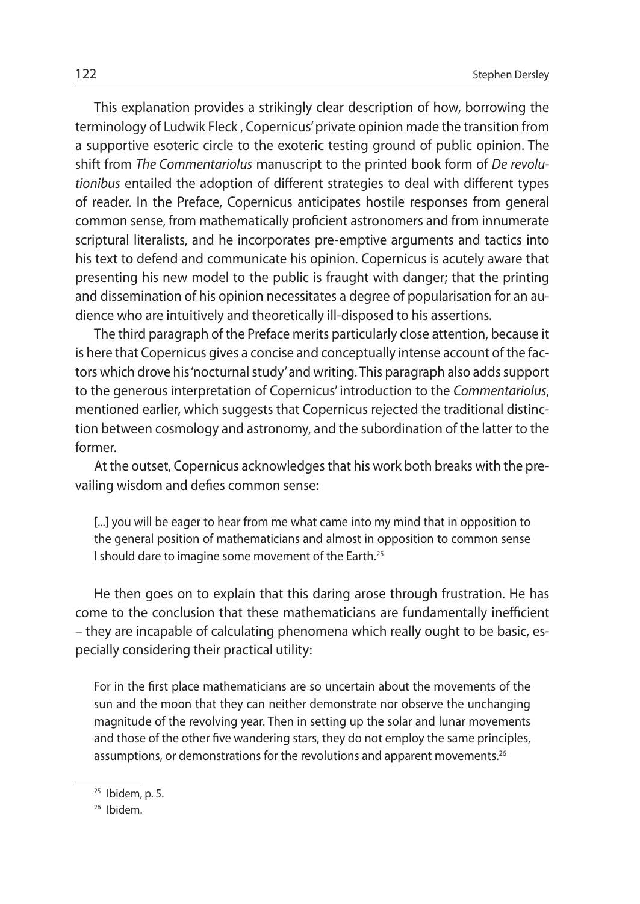This explanation provides a strikingly clear description of how, borrowing the terminology of Ludwik Fleck , Copernicus' private opinion made the transition from a supportive esoteric circle to the exoteric testing ground of public opinion. The shift from *The Commentariolus* manuscript to the printed book form of *De revolutionibus* entailed the adoption of different strategies to deal with different types of reader. In the Preface, Copernicus anticipates hostile responses from general common sense, from mathematically proficient astronomers and from innumerate scriptural literalists, and he incorporates pre-emptive arguments and tactics into his text to defend and communicate his opinion. Copernicus is acutely aware that presenting his new model to the public is fraught with danger; that the printing and dissemination of his opinion necessitates a degree of popularisation for an audience who are intuitively and theoretically ill-disposed to his assertions.

The third paragraph of the Preface merits particularly close attention, because it is here that Copernicus gives a concise and conceptually intense account of the factors which drove his 'nocturnal study' and writing. This paragraph also adds support to the generous interpretation of Copernicus' introduction to the *Commentariolus*, mentioned earlier, which suggests that Copernicus rejected the traditional distinction between cosmology and astronomy, and the subordination of the latter to the former.

At the outset, Copernicus acknowledges that his work both breaks with the prevailing wisdom and defies common sense:

[...] you will be eager to hear from me what came into my mind that in opposition to the general position of mathematicians and almost in opposition to common sense I should dare to imagine some movement of the Earth.25

He then goes on to explain that this daring arose through frustration. He has come to the conclusion that these mathematicians are fundamentally inefficient – they are incapable of calculating phenomena which really ought to be basic, especially considering their practical utility:

For in the first place mathematicians are so uncertain about the movements of the sun and the moon that they can neither demonstrate nor observe the unchanging magnitude of the revolving year. Then in setting up the solar and lunar movements and those of the other five wandering stars, they do not employ the same principles, assumptions, or demonstrations for the revolutions and apparent movements.<sup>26</sup>

<sup>25</sup> Ibidem, p. 5.

<sup>26</sup> Ibidem.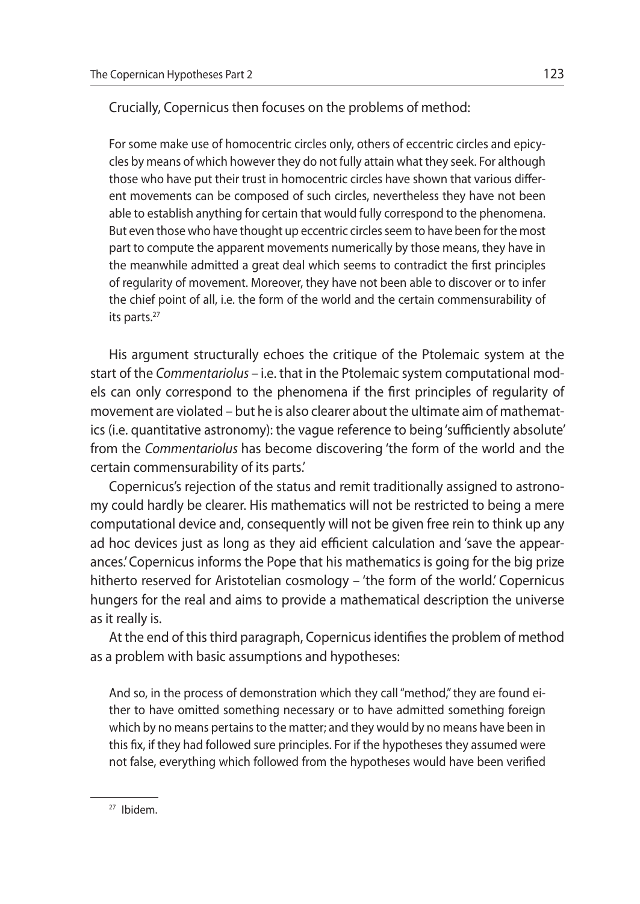Crucially, Copernicus then focuses on the problems of method:

For some make use of homocentric circles only, others of eccentric circles and epicycles by means of which however they do not fully attain what they seek. For although those who have put their trust in homocentric circles have shown that various different movements can be composed of such circles, nevertheless they have not been able to establish anything for certain that would fully correspond to the phenomena. But even those who have thought up eccentric circles seem to have been for the most part to compute the apparent movements numerically by those means, they have in the meanwhile admitted a great deal which seems to contradict the first principles of regularity of movement. Moreover, they have not been able to discover or to infer the chief point of all, i.e. the form of the world and the certain commensurability of its parts.<sup>27</sup>

His argument structurally echoes the critique of the Ptolemaic system at the start of the *Commentariolus –* i.e. that in the Ptolemaic system computational models can only correspond to the phenomena if the first principles of regularity of movement are violated – but he is also clearer about the ultimate aim of mathematics (i.e. quantitative astronomy): the vague reference to being 'sufficiently absolute' from the *Commentariolus* has become discovering 'the form of the world and the certain commensurability of its parts.'

Copernicus's rejection of the status and remit traditionally assigned to astronomy could hardly be clearer. His mathematics will not be restricted to being a mere computational device and, consequently will not be given free rein to think up any ad hoc devices just as long as they aid efficient calculation and 'save the appearances.' Copernicus informs the Pope that his mathematics is going for the big prize hitherto reserved for Aristotelian cosmology – 'the form of the world.' Copernicus hungers for the real and aims to provide a mathematical description the universe as it really is.

At the end of this third paragraph, Copernicus identifies the problem of method as a problem with basic assumptions and hypotheses:

And so, in the process of demonstration which they call "method," they are found either to have omitted something necessary or to have admitted something foreign which by no means pertains to the matter; and they would by no means have been in this fix, if they had followed sure principles. For if the hypotheses they assumed were not false, everything which followed from the hypotheses would have been verified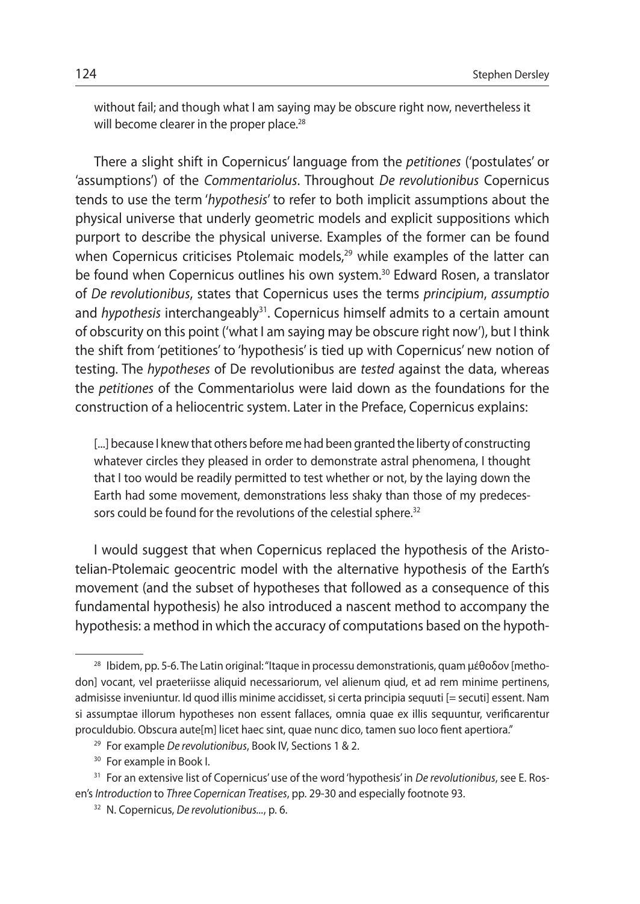without fail; and though what I am saying may be obscure right now, nevertheless it will become clearer in the proper place.<sup>28</sup>

There a slight shift in Copernicus' language from the *petitiones* ('postulates' or 'assumptions') of the *Commentariolus*. Throughout *De revolutionibus* Copernicus tends to use the term '*hypothesis*' to refer to both implicit assumptions about the physical universe that underly geometric models and explicit suppositions which purport to describe the physical universe. Examples of the former can be found when Copernicus criticises Ptolemaic models,<sup>29</sup> while examples of the latter can be found when Copernicus outlines his own system.<sup>30</sup> Edward Rosen, a translator of *De revolutionibus*, states that Copernicus uses the terms *principium*, *assumptio* and *hypothesis* interchangeably<sup>31</sup>. Copernicus himself admits to a certain amount of obscurity on this point ('what I am saying may be obscure right now'), but I think the shift from 'petitiones' to 'hypothesis' is tied up with Copernicus' new notion of testing. The *hypotheses* of De revolutionibus are *tested* against the data, whereas the *petitiones* of the Commentariolus were laid down as the foundations for the construction of a heliocentric system. Later in the Preface, Copernicus explains:

[...] because I knew that others before me had been granted the liberty of constructing whatever circles they pleased in order to demonstrate astral phenomena, I thought that I too would be readily permitted to test whether or not, by the laying down the Earth had some movement, demonstrations less shaky than those of my predecessors could be found for the revolutions of the celestial sphere.<sup>32</sup>

I would suggest that when Copernicus replaced the hypothesis of the Aristotelian-Ptolemaic geocentric model with the alternative hypothesis of the Earth's movement (and the subset of hypotheses that followed as a consequence of this fundamental hypothesis) he also introduced a nascent method to accompany the hypothesis: a method in which the accuracy of computations based on the hypoth-

<sup>28</sup> Ibidem, pp. 5-6. The Latin original: "Itaque in processu demonstrationis, quam μέθοδον [methodon] vocant, vel praeteriisse aliquid necessariorum, vel alienum qiud, et ad rem minime pertinens, admisisse inveniuntur. Id quod illis minime accidisset, si certa principia sequuti [= secuti] essent. Nam si assumptae illorum hypotheses non essent fallaces, omnia quae ex illis sequuntur, verificarentur proculdubio. Obscura aute[m] licet haec sint, quae nunc dico, tamen suo loco fient apertiora."

<sup>29</sup> For example *De revolutionibus*, Book IV, Sections 1 & 2.

<sup>&</sup>lt;sup>30</sup> For example in Book I.

<sup>31</sup> For an extensive list of Copernicus' use of the word 'hypothesis' in *De revolutionibus*, see E. Rosen's *Introduction* to *Three Copernican Treatises*, pp. 29-30 and especially footnote 93.

<sup>32</sup> N. Copernicus, *De revolutionibus...*, p. 6.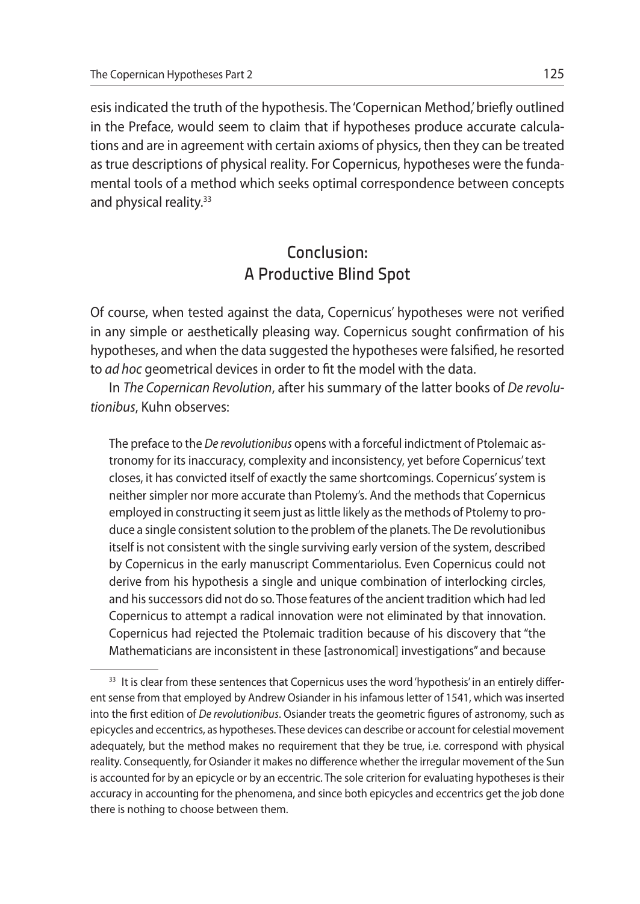esis indicated the truth of the hypothesis. The 'Copernican Method,' briefly outlined in the Preface, would seem to claim that if hypotheses produce accurate calculations and are in agreement with certain axioms of physics, then they can be treated as true descriptions of physical reality. For Copernicus, hypotheses were the fundamental tools of a method which seeks optimal correspondence between concepts and physical reality.<sup>33</sup>

# Conclusion: A Productive Blind Spot

Of course, when tested against the data, Copernicus' hypotheses were not verified in any simple or aesthetically pleasing way. Copernicus sought confirmation of his hypotheses, and when the data suggested the hypotheses were falsified, he resorted to *ad hoc* geometrical devices in order to fit the model with the data.

In *The Copernican Revolution*, after his summary of the latter books of *De revolutionibus*, Kuhn observes:

The preface to the *De revolutionibus* opens with a forceful indictment of Ptolemaic astronomy for its inaccuracy, complexity and inconsistency, yet before Copernicus' text closes, it has convicted itself of exactly the same shortcomings. Copernicus' system is neither simpler nor more accurate than Ptolemy's. And the methods that Copernicus employed in constructing it seem just as little likely as the methods of Ptolemy to produce a single consistent solution to the problem of the planets. The De revolutionibus itself is not consistent with the single surviving early version of the system, described by Copernicus in the early manuscript Commentariolus. Even Copernicus could not derive from his hypothesis a single and unique combination of interlocking circles, and his successors did not do so. Those features of the ancient tradition which had led Copernicus to attempt a radical innovation were not eliminated by that innovation. Copernicus had rejected the Ptolemaic tradition because of his discovery that "the Mathematicians are inconsistent in these [astronomical] investigations" and because

<sup>&</sup>lt;sup>33</sup> It is clear from these sentences that Copernicus uses the word 'hypothesis' in an entirely different sense from that employed by Andrew Osiander in his infamous letter of 1541, which was inserted into the first edition of *De revolutionibus*. Osiander treats the geometric figures of astronomy, such as epicycles and eccentrics, as hypotheses. These devices can describe or account for celestial movement adequately, but the method makes no requirement that they be true, i.e. correspond with physical reality. Consequently, for Osiander it makes no difference whether the irregular movement of the Sun is accounted for by an epicycle or by an eccentric. The sole criterion for evaluating hypotheses is their accuracy in accounting for the phenomena, and since both epicycles and eccentrics get the job done there is nothing to choose between them.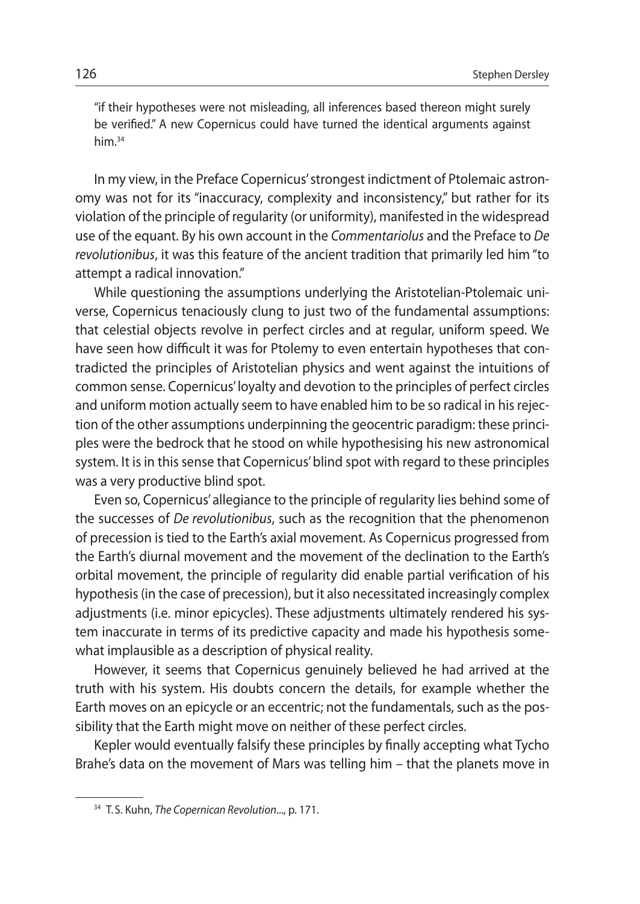"if their hypotheses were not misleading, all inferences based thereon might surely be verified." A new Copernicus could have turned the identical arguments against him.34

In my view, in the Preface Copernicus' strongest indictment of Ptolemaic astronomy was not for its "inaccuracy, complexity and inconsistency," but rather for its violation of the principle of regularity (or uniformity), manifested in the widespread use of the equant. By his own account in the *Commentariolus* and the Preface to *De revolutionibus*, it was this feature of the ancient tradition that primarily led him "to attempt a radical innovation."

While questioning the assumptions underlying the Aristotelian-Ptolemaic universe, Copernicus tenaciously clung to just two of the fundamental assumptions: that celestial objects revolve in perfect circles and at regular, uniform speed. We have seen how difficult it was for Ptolemy to even entertain hypotheses that contradicted the principles of Aristotelian physics and went against the intuitions of common sense. Copernicus' loyalty and devotion to the principles of perfect circles and uniform motion actually seem to have enabled him to be so radical in his rejection of the other assumptions underpinning the geocentric paradigm: these principles were the bedrock that he stood on while hypothesising his new astronomical system. It is in this sense that Copernicus' blind spot with regard to these principles was a very productive blind spot.

Even so, Copernicus' allegiance to the principle of regularity lies behind some of the successes of *De revolutionibus*, such as the recognition that the phenomenon of precession is tied to the Earth's axial movement. As Copernicus progressed from the Earth's diurnal movement and the movement of the declination to the Earth's orbital movement, the principle of regularity did enable partial verification of his hypothesis (in the case of precession), but it also necessitated increasingly complex adjustments (i.e. minor epicycles). These adjustments ultimately rendered his system inaccurate in terms of its predictive capacity and made his hypothesis somewhat implausible as a description of physical reality.

However, it seems that Copernicus genuinely believed he had arrived at the truth with his system. His doubts concern the details, for example whether the Earth moves on an epicycle or an eccentric; not the fundamentals, such as the possibility that the Earth might move on neither of these perfect circles.

Kepler would eventually falsify these principles by finally accepting what Tycho Brahe's data on the movement of Mars was telling him – that the planets move in

<sup>34</sup> T. S. Kuhn, *The Copernican Revolution*..., p. 171.